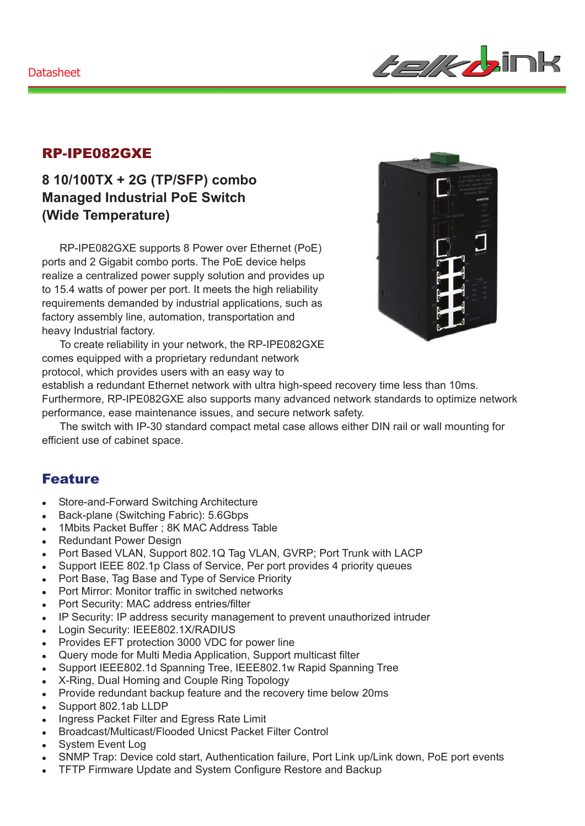

#### RP-IPE082GXE

### **8 10/100TX + 2G (TP/SFP) combo Managed Industrial PoE Switch (Wide Temperature)**

RP-IPE082GXE supports 8 Power over Ethernet (PoE) ports and 2 Gigabit combo ports. The PoE device helps realize a centralized power supply solution and provides up to 15.4 watts of power per port. It meets the high reliability requirements demanded by industrial applications, such as factory assembly line, automation, transportation and heavy Industrial factory.

To create reliability in your network, the RP-IPE082GXE comes equipped with a proprietary redundant network protocol, which provides users with an easy way to

establish a redundant Ethernet network with ultra high-speed recovery time less than 10ms.

Furthermore, RP-IPE082GXE also supports many advanced network standards to optimize network performance, ease maintenance issues, and secure network safety.

The switch with IP-30 standard compact metal case allows either DIN rail or wall mounting for efficient use of cabinet space.

#### Feature

- Store-and-Forward Switching Architecture
- Back-plane (Switching Fabric): 5.6Gbps
- 1Mbits Packet Buffer ; 8K MAC Address Table
- Redundant Power Design
- Port Based VLAN, Support 802.1Q Tag VLAN, GVRP; Port Trunk with LACP
- Support IEEE 802.1p Class of Service, Per port provides 4 priority queues
- Port Base, Tag Base and Type of Service Priority
- Port Mirror: Monitor traffic in switched networks
- Port Security: MAC address entries/filter
- IP Security: IP address security management to prevent unauthorized intruder
- Login Security: IEEE802.1X/RADIUS
- Provides EFT protection 3000 VDC for power line
- Query mode for Multi Media Application, Support multicast filter
- Support IEEE802.1d Spanning Tree, IEEE802.1w Rapid Spanning Tree
- X-Ring, Dual Homing and Couple Ring Topology
- Provide redundant backup feature and the recovery time below 20ms
- Support 802.1ab LLDP
- Ingress Packet Filter and Egress Rate Limit
- Broadcast/Multicast/Flooded Unicst Packet Filter Control
- System Event Log
- SNMP Trap: Device cold start, Authentication failure, Port Link up/Link down, PoE port events
- <sup>z</sup> TFTP Firmware Update and System Configure Restore and Backup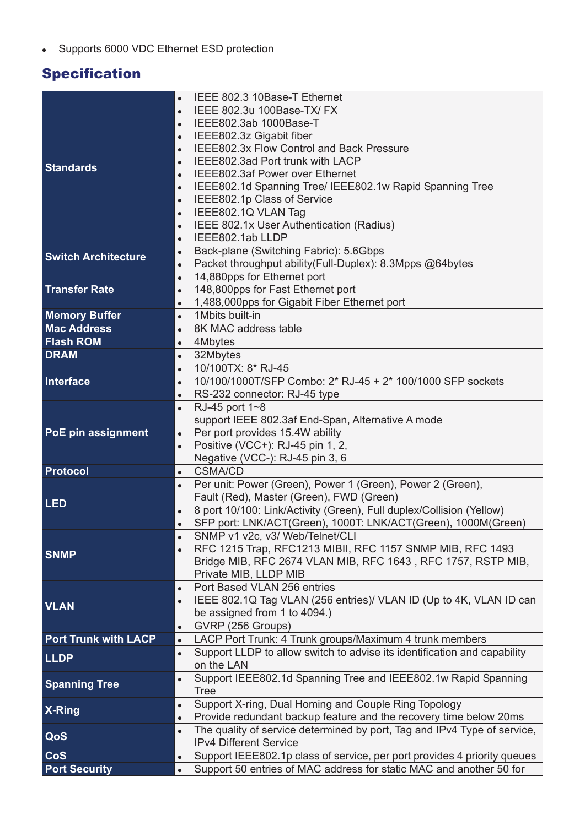• Supports 6000 VDC Ethernet ESD protection

# **Specification**

|                             | IEEE 802.3 10Base-T Ethernet                                                          |
|-----------------------------|---------------------------------------------------------------------------------------|
|                             | IEEE 802.3u 100Base-TX/ FX                                                            |
|                             | IEEE802.3ab 1000Base-T<br>$\bullet$                                                   |
|                             | IEEE802.3z Gigabit fiber<br>$\bullet$                                                 |
|                             | IEEE802.3x Flow Control and Back Pressure<br>$\bullet$                                |
| <b>Standards</b>            | IEEE802.3ad Port trunk with LACP<br>$\bullet$                                         |
|                             | IEEE802.3af Power over Ethernet<br>$\bullet$                                          |
|                             | IEEE802.1d Spanning Tree/ IEEE802.1w Rapid Spanning Tree<br>$\bullet$                 |
|                             | IEEE802.1p Class of Service<br>$\bullet$                                              |
|                             | IEEE802.1Q VLAN Tag<br>$\bullet$                                                      |
|                             | IEEE 802.1x User Authentication (Radius)<br>$\bullet$                                 |
|                             | IEEE802.1ab LLDP<br>$\bullet$                                                         |
| <b>Switch Architecture</b>  | Back-plane (Switching Fabric): 5.6Gbps<br>$\bullet$                                   |
|                             | Packet throughput ability (Full-Duplex): 8.3Mpps @64bytes<br>$\bullet$                |
|                             | 14,880pps for Ethernet port<br>$\bullet$                                              |
| <b>Transfer Rate</b>        | 148,800pps for Fast Ethernet port<br>$\bullet$                                        |
|                             | 1,488,000pps for Gigabit Fiber Ethernet port<br>$\bullet$                             |
| <b>Memory Buffer</b>        | 1Mbits built-in<br>$\bullet$                                                          |
| <b>Mac Address</b>          | 8K MAC address table<br>$\bullet$                                                     |
| <b>Flash ROM</b>            | 4Mbytes<br>$\bullet$                                                                  |
| <b>DRAM</b>                 | $\bullet$<br>32Mbytes                                                                 |
|                             | 10/100TX: 8* RJ-45<br>$\bullet$                                                       |
| Interface                   | 10/100/1000T/SFP Combo: 2* RJ-45 + 2* 100/1000 SFP sockets<br>$\bullet$               |
|                             | RS-232 connector: RJ-45 type<br>$\bullet$                                             |
|                             | RJ-45 port 1~8<br>$\bullet$                                                           |
| PoE pin assignment          | support IEEE 802.3af End-Span, Alternative A mode<br>Per port provides 15.4W ability  |
|                             | $\bullet$<br>Positive (VCC+): RJ-45 pin 1, 2,                                         |
|                             | $\bullet$<br>Negative (VCC-): RJ-45 pin 3, 6                                          |
| Protocol                    | <b>CSMA/CD</b><br>$\bullet$                                                           |
|                             | Per unit: Power (Green), Power 1 (Green), Power 2 (Green),<br>$\bullet$               |
|                             | Fault (Red), Master (Green), FWD (Green)                                              |
| <b>LED</b>                  | 8 port 10/100: Link/Activity (Green), Full duplex/Collision (Yellow)<br>$\bullet$     |
|                             | SFP port: LNK/ACT(Green), 1000T: LNK/ACT(Green), 1000M(Green)<br>$\bullet$            |
|                             | SNMP v1 v2c, v3/ Web/Telnet/CLI                                                       |
|                             | RFC 1215 Trap, RFC1213 MIBII, RFC 1157 SNMP MIB, RFC 1493<br>$\bullet$                |
| <b>SNMP</b>                 | Bridge MIB, RFC 2674 VLAN MIB, RFC 1643, RFC 1757, RSTP MIB,                          |
|                             | Private MIB, LLDP MIB                                                                 |
|                             | Port Based VLAN 256 entries<br>$\bullet$                                              |
| <b>VLAN</b>                 | IEEE 802.1Q Tag VLAN (256 entries)/ VLAN ID (Up to 4K, VLAN ID can<br>$\bullet$       |
|                             | be assigned from 1 to 4094.)                                                          |
|                             | GVRP (256 Groups)<br>$\bullet$                                                        |
| <b>Port Trunk with LACP</b> | LACP Port Trunk: 4 Trunk groups/Maximum 4 trunk members<br>$\bullet$                  |
| <b>LLDP</b>                 | Support LLDP to allow switch to advise its identification and capability<br>$\bullet$ |
|                             | on the LAN                                                                            |
| <b>Spanning Tree</b>        | Support IEEE802.1d Spanning Tree and IEEE802.1w Rapid Spanning<br>$\bullet$           |
|                             | <b>Tree</b>                                                                           |
| X-Ring                      | Support X-ring, Dual Homing and Couple Ring Topology<br>$\bullet$                     |
|                             | Provide redundant backup feature and the recovery time below 20ms<br>$\bullet$        |
| QoS                         | The quality of service determined by port, Tag and IPv4 Type of service,<br>$\bullet$ |
|                             | IPv4 Different Service                                                                |
| CoS                         | Support IEEE802.1p class of service, per port provides 4 priority queues<br>$\bullet$ |
| <b>Port Security</b>        | Support 50 entries of MAC address for static MAC and another 50 for<br>$\bullet$      |